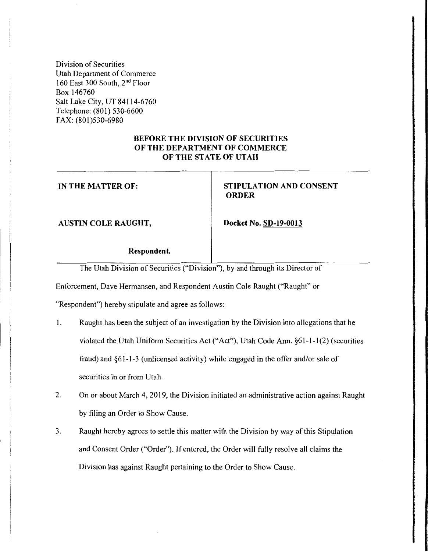Division of Securities Utah Department of Commerce 160 East 300 South, 2<sup>nd</sup> Floor Box 146760 Salt Lake City, UT 84114-6760 Telephone: (801) 530-6600 FAX: (801)530-6980

# **BEFORE THE DIVISION OF SECURITIES OF THE DEPARTMENT OF COMMERCE OF THE STATE OF UTAH**

**IN THE MATTER OF:** 

## **STIPULATION AND CONSENT ORDER**

**AUSTIN COLE RAUGHT,** 

**Docket No. SD-19-0013** 

**Respondent.** 

The Utah Division of Securities ("Division"), by and through its Director of

Enforcement, Dave Hermansen, and Respondent Austin Cole Raught ("Raught" or

"Respondent") hereby stipulate and agree as follows:

- 1. Raught has been the subject of an investigation by the Division into allegations that he violated the Utah Uniform Securities Act ("Act"), Utah Code Ann. §61-1-1 (2) (securities fraud) and §61-1-3 (unlicensed activity) while engaged in the offer and/or sale of securities in or from Utah.
- 2. On or about March 4, 2019, the Division initiated an administrative action against Raught by filing an Order to Show Cause.
- 3. Raught hereby agrees to settle this matter with the Division by way of this Stipulation and Consent Order ("Order"). If entered, the Order will fully resolve all claims the Division has against Raught pertaining to the Order to Show Cause.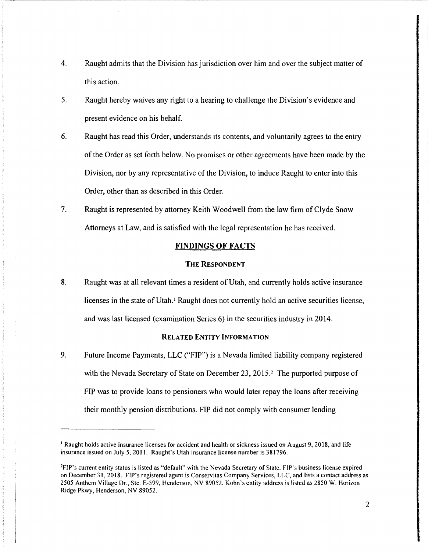- 4. Raught admits that the Division has jurisdiction over him and over the subject matter of this action.
- 5. Raught hereby waives any right to a hearing to challenge the Division's evidence and present evidence on his behalf.
- 6. Raught has read this Order, understands its contents, and voluntarily agrees to the entry of the Order as set forth below. No promises or other agreements have been made by the Division, nor by any representative of the Division, to induce Raught to enter into this Order, other than as described in this Order.
- 7. Raught is represented by attorney Keith Woodwell from the law firm of Clyde Snow Attorneys at Law, and is satisfied with the legal representation he has received.

# **FINDINGS OF FACTS**

## **THE RESPONDENT**

8. Raught was at all relevant times a resident of Utah, and currently holds active insurance licenses in the state of Utah.<sup>1</sup> Raught does not currently hold an active securities license, and was last licensed (examination Series 6) in the securities industry in 2014.

#### **RELATED ENTITY INFORMATION**

9. Future Income Payments, LLC ("FIP") is a Nevada limited liability company registered with the Nevada Secretary of State on December 23, 2015.<sup>2</sup> The purported purpose of FIP was to provide loans to pensioners who would later repay the loans after receiving their monthly pension distributions. FIP did not comply with consumer lending

<sup>1</sup>Raught holds active insurance licenses for accident and health or sickness issued on August 9, 2018, and life insurance issued on July 5, 2011. Raught's Utah insurance license number is 381796.

<sup>2</sup>FIP's current entity status is listed as "default" with the Nevada Secretary of State. FIP's business license expired on December 31, 2018. FIP's registered agent is Conservitas Company Services, LLC, and lists a contact address as 2505 Anthem Village Dr., Ste. E-599, Henderson, NV 89052. Kohn's entity address is listed as 2850 W. Horizon Ridge Pkwy, Henderson, NV 89052.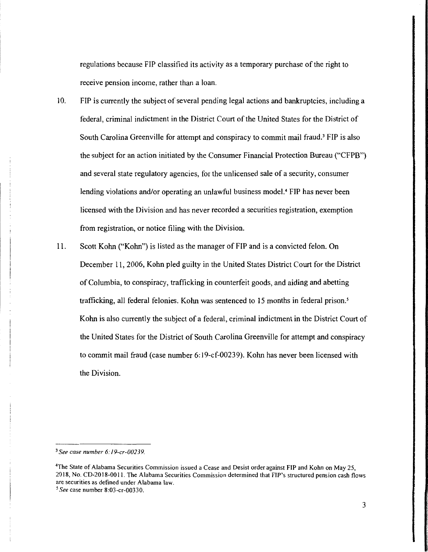regulations because FIP classified its activity as a temporary purchase of the right to receive pension income, rather than a loan.

- 10. FIP is currently the subject of several pending legal actions and bankruptcies, including a federal, criminal indictment in the District Court of the United States for the District of South Carolina Greenville for attempt and conspiracy to commit mail fraud.<sup>3</sup> FIP is also the subject for an action initiated by the Consumer Financial Protection Bureau ("CFPB") and several state regulatory agencies, for the unlicensed sale of a security, consumer lending violations and/or operating an unlawful business model.4 FIP has never been licensed with the Division and has never recorded a securities registration, exemption from registration, or notice filing with the Division.
- 11. Scott Kohn ("Kohn") is listed as the manager of FIP and is a convicted felon. On December 11, 2006, Kohn pied guilty in the United States District Court for the District of Columbia, to conspiracy, trafficking in counterfeit goods, and aiding and abetting trafficking, all federal felonies. Kohn was sentenced to 15 months in federal prison.5 Kohn is also currently the subject of a federal, criminal indictment in the District Court of the United States for the District of South Carolina Greenville for attempt and conspiracy to commit mail fraud (case number 6: 19-cf-00239). Kohn has never been licensed with the Division.

<sup>3</sup>*See case number 6: l 9-cr-002 39.* 

<sup>4</sup> The State of Alabama Securities Commission issued a Cease and Desist order against FIP and Kohn on May 25, 2018, No. CD-2018-0011. The Alabama Securities Commission determined that FIP's structured pension cash flows are securities as defined under Alabama law. 5 *See* case number 8:03-cr-00330.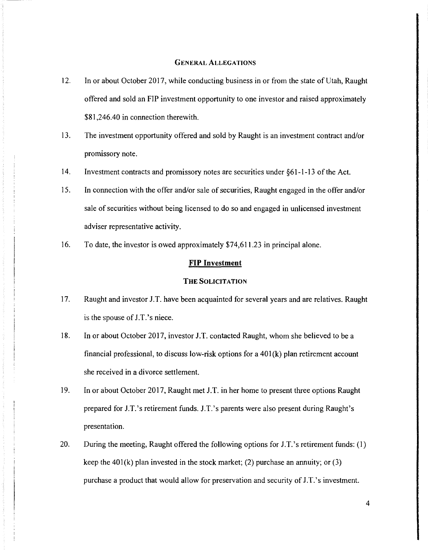#### **GENERAL ALLEGATIONS**

- 12. In or about October 2017, while conducting business in or from the state of Utah, Raught offered and sold an FIP investment opportunity to one investor and raised approximately \$81,246.40 in connection therewith.
- 13. The investment opportunity offered and sold by Raught is an investment contract and/or promissory note.
- 14. Investment contracts and promissory notes are securities under §61-1-13 of the Act.
- 15. In connection with the offer and/or sale of securities, Raught engaged in the offer and/or sale of securities without being licensed to do so and engaged in unlicensed investment adviser representative activity.
- 16. To date, the investor is owed approximately \$74,611.23 in principal alone.

### **FIP Investment**

### **THE SOLICITATION**

- 17. Raught and investor J.T. have been acquainted for several years and are relatives. Raught is the spouse of J.T.'s niece.
- 18. In or about October 2017, investor J.T. contacted Raught, whom she believed to be a financial professional, to discuss low-risk options for a  $401(k)$  plan retirement account she received in a divorce settlement.
- 19. In or about October 2017, Raught met J.T. in her home to present three options Raught prepared for J.T. 's retirement funds. J.T.'s parents were also present during Raught's presentation.
- 20. During the meeting, Raught offered the following options for J.T.'s retirement funds: (1) keep the  $401(k)$  plan invested in the stock market; (2) purchase an annuity; or (3) purchase a product that would allow for preservation and security of J.T.'s investment.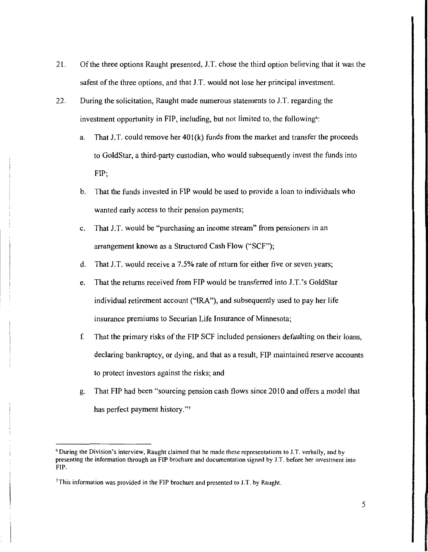- 21. Of the three options Raught presented, J.T. chose the third option believing that it was the safest of the three options, and that J.T. would not lose her principal investment.
- 22. During the solicitation, Raught made numerous statements to J.T. regarding the investment opportunity in FIP, including, but not limited to, the following<sup> $6$ </sup>:
	- a. That J.T. could remove her  $401(k)$  funds from the market and transfer the proceeds to GoldStar, a third-party custodian, who would subsequently invest the funds into FIP;
	- b. That the funds invested in FIP would be used to provide a loan to individuals who wanted early access to their pension payments;
	- c. That J.T. would be "purchasing an income stream" from pensioners in an arrangement known as a Structured Cash Flow ("SCF");
	- d. That J.T. would receive a 7.5% rate of return for either five or seven years;
	- e. That the returns received from FIP would be transferred into J.T.'s GoldStar individual retirement account ("IRA"), and subsequently used to pay her life insurance premiums to Securian Life Insurance of Minnesota;
	- f. That the primary risks of the FIP SCF included pensioners defaulting on their loans, declaring bankruptcy, or dying, and that as a result, FIP maintained reserve accounts to protect investors against the risks; and
	- g. That FIP had been "sourcing pension cash flows since 20 IO and offers a model that has perfect payment history."<sup>7</sup>

<sup>&</sup>lt;sup>6</sup> During the Division's interview, Raught claimed that he made these representations to J.T. verbally, and by presenting the infonnation through an FIP brochure and documentation signed by J.T. before her investment into FIP.

 $7$ This information was provided in the FIP brochure and presented to J.T. by Raught.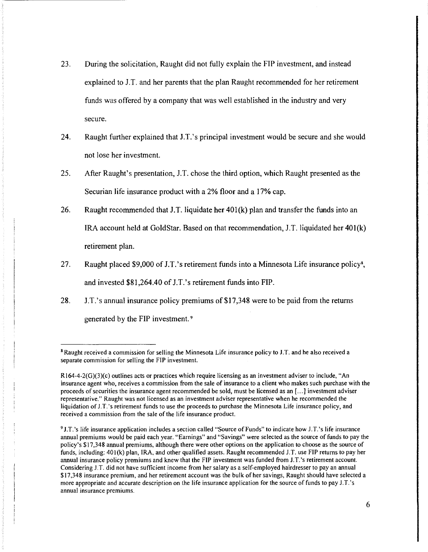- 23. During the solicitation, Raught did not fully explain the FIP investment, and instead explained to J.T. and her parents that the plan Raught recommended for her retirement funds was offered by a company that was well established in the industry and very secure.
- 24. Raught further explained that J.T.'s principal investment would be secure and she would not lose her investment.
- 25. After Raught's presentation, J.T. chose the third option, which Raught presented as the Securian life insurance product with a 2% floor and a 17% cap.
- 26. Raught recommended that J.T. liquidate her 40l(k) plan and transfer the funds into an IRA account held at GoldStar. Based on that recommendation, J.T. liquidated her 40I(k) retirement plan.
- 27. Raught placed \$9,000 of J.T.'s retirement funds into a Minnesota Life insurance policy<sup>8</sup>, and invested \$81,264.40 of J.T.'s retirement funds into FIP.
- 28. J.T.'s annual insurance policy premiums of \$17,348 were to be paid from the returns generated by the FIP investment. <sup>9</sup>

<sup>8</sup>Raught received a commission for selling the Minnesota Life insurance policy to J.T. and he also received a separate commission for selling the FIP investment.

 $R164-4-2(G)(3)(c)$  outlines acts or practices which require licensing as an investment adviser to include, "An insurance agent who, receives a commission from the sale of insurance to a client who makes such purchase with the proceeds of securities the insurance agent recommended be sold, must be licensed as an [...] investment adviser representative." Raught was not licensed as an investment adviser representative when he recommended the liquidation of J.T.'s retirement funds to use the proceeds to purchase the Minnesota Life insurance policy, and received a commission from the sale of the life insurance product.

<sup>9</sup>J.T. 's life insurance application includes a section called "Source of Funds" to indicate how J .T.'s life insurance annual premiums would be paid each year. "Earnings" and "Savings" were selected as the source of funds to pay the policy's \$17,348 annual premiums, although there were other options on the application to choose as the source of funds, including: 401(k) plan, IRA, and other qualified assets. Raught recommended J.T. use FIP returns to pay her annual insurance policy premiums and knew that the FIP investment was funded from J.T.'s retirement account. Considering J.T. did not have sufficient income from her salary as a self-employed hairdresser to pay an annual \$17,348 insurance premium, and her retirement account was the bulk of her savings, Raught should have selected a more appropriate and accurate description on the life insurance application for the source of funds to pay J.T.'s annual insurance premiums.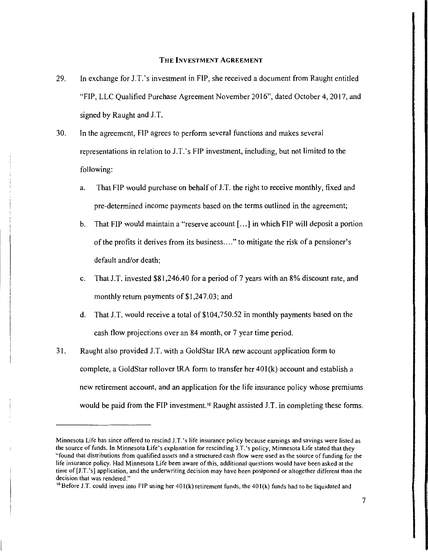### **THE INVESTMENT AGREEMENT**

- 29. In exchange for J.T.'s investment in FIP, she received a document from Raught entitled "FIP, LLC Qualified Purchase Agreement November 2016", dated October 4,2017, and signed by Raught and J.T.
- 30. In the agreement, FIP agrees to perform several functions and makes several representations in relation to J.T.'s FIP investment, including, but not limited to the following:
	- a. That FIP would purchase on behalf of J.T. the right to receive monthly, fixed and pre-determined income payments based on the terms outlined in the agreement;
	- b. That FIP would maintain a "reserve account [...] in which FIP will deposit a portion of the profits it derives from its business .... " to mitigate the risk of a pensioner's default and/or death;
	- c. That J.T. invested \$81,246.40 for a period of 7 years with an 8% discount rate, and monthly return payments of \$1,247.03; and
	- d. That J.T. would receive a total of \$104,750.52 in monthly payments based on the cash flow projections over an 84 month, or 7 year time period.
- 3 I. Raught also provided J.T. with a GoldStar IRA new account application form to complete, a GoldStar rollover IRA form to transfer her 401 (k) account and establish a new retirement account, and an application for the life insurance policy whose premiums would be paid from the FIP investment.<sup>10</sup> Raught assisted J.T. in completing these forms.

Minnesota Life has since offered to rescind J.T.'s life insurance policy because earnings and savings were listed as the source of funds. In Minnesota Life's explanation for rescinding J.T.'s policy, Minnesota Life stated that they "found that distributions from qualified assets and a structured cash flow were used as the source of funding for the life insurance policy. Had Minnesota Life been aware of this, additional questions would have been asked at the time of [J.T.'s] application, and the underwriting decision may have been postponed or altogether different than the decision that was rendered."

<sup>&</sup>lt;sup>10</sup> Before J.T. could invest into FIP using her  $401(k)$  retirement funds, the  $401(k)$  funds had to be liquidated and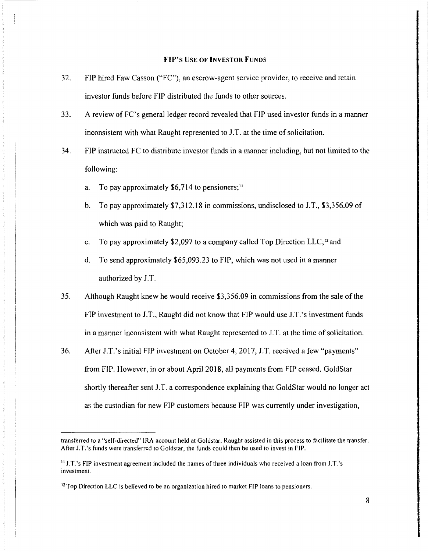#### **FIP's USE OF INVESTOR FUNDS**

- 32. FIP hired Faw Casson ("FC"), an escrow-agent service provider, to receive and retain investor funds before FIP distributed the funds to other sources.
- 33. A review of FC's general ledger record revealed that FIP used investor funds in a manner inconsistent with what Raught represented to J.T. at the time of solicitation.
- 34. FIP instructed FC to distribute investor funds in a manner including, but not limited to the following:
	- a. To pay approximately \$6,714 to pensioners; <sup>11</sup>
	- b. To pay approximately \$7,312.18 in commissions, undisclosed to J.T., \$3,356.09 of which was paid to Raught;
	- c. To pay approximately \$2,097 to a company called Top Direction  $LLC$ ;<sup>12</sup> and
	- d. To send approximately \$65,093.23 to FIP, which was not used in a manner authorized by J.T.
- 35. Although Raught knew he would receive \$3,356.09 in commissions from the sale of the FIP investment to J.T., Raught did not know that FIP would use J.T.'s investment funds in a manner inconsistent with what Raught represented to J.T. at the time of solicitation.
- 36. After J.T.'s initial FIP investment on October 4,2017, J.T. received a few "payments" from FIP. However, in or about April 2018, all payments from FIP ceased. GoldStar shortly thereafter sent J.T. a correspondence explaining that GoldStar would no longer act as the custodian for new FIP customers because FIP was currently under investigation,

transferred to a "self-directed" IRA account held at Goldstar. Raught assisted in this process to facilitate the transfer. After J.T.'s funds were transferred to Goldstar, the funds could then be used to invest in FIP.

 $^{11}$  J.T.'s FIP investment agreement included the names of three individuals who received a loan from J.T.'s investment.

 $12$  Top Direction LLC is believed to be an organization hired to market FIP loans to pensioners.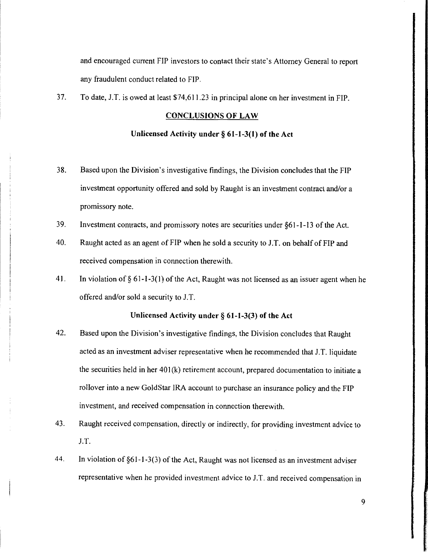and encouraged current FIP investors to contact their state's Attorney General to report any fraudulent conduct related to FIP.

37. To date, J.T. is owed at least \$74,611.23 in principal alone on her investment in FIP.

# **CONCLUSIONS OF LAW**

### **Unlicensed Activity under§ 61-1-3(1) of the Act**

- 38. Based upon the Division's investigative findings, the Division concludes that the FIP investment opportunity offered and sold by Raught is an investment contract and/or a promissory note.
- 39. Investment contracts, and promissory notes are securities under §61-1-13 of the Act.
- 40. Raught acted as an agent of FIP when he sold a security to J.T. on behalf of FIP and received compensation in connection therewith.
- 41. In violation of§ 61-1-3( 1) of the Act, Raught was not licensed as an issuer agent when he offered and/or sold a security to J.T.

## **Unlicensed Activity under§ 61-1-3(3) of the Act**

- 42. Based upon the Division's investigative findings, the Division concludes that Raught acted as an investment adviser representative when he recommended that J.T. liquidate the securities held in her  $401(k)$  retirement account, prepared documentation to initiate a rollover into a new GoldStar IRA account to purchase an insurance policy and the FIP investment, and received compensation in connection therewith.
- 43. Raught received compensation, directly or indirectly, for providing investment advice to J.T.
- 44. In violation of §61-1-3(3) of the Act, Raught was not licensed as an investment adviser representative when he provided investment advice to J.T. and received compensation in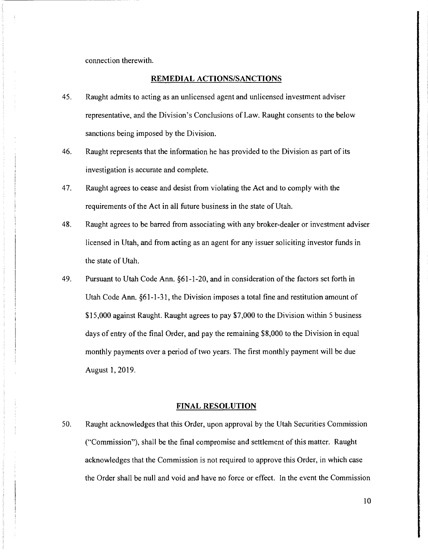connection therewith.

#### **REMEDIAL ACTIONS/SANCTIONS**

- 45. Raught admits to acting as an unlicensed agent and unlicensed investment adviser representative, and the Division's Conclusions of Law. Raught consents to the below sanctions being imposed by the Division.
- 46. Raught represents that the information he has provided to the Division as part of its investigation is accurate and complete.
- 47. Raught agrees to cease and desist from violating the Act and to comply with the requirements of the Act in all future business in the state of Utah.
- 48. Raught agrees to be barred from associating with any broker-dealer or investment adviser licensed in Utah, and from acting as an agent for any issuer soliciting investor funds in the state of Utah.
- 49. Pursuant to Utah Code Ann. §61-1-20, and in consideration of the factors set forth in Utah Code Ann. §61-1-31, the Division imposes a total fine and restitution amount of \$15,000 against Raught. Raught agrees to pay \$7,000 to the Division within 5 business days of entry of the final Order, and pay the remaining \$8,000 to the Division in equal monthly payments over a period of two years. The first monthly payment will be due August 1, 2019.

### **FINAL RESOLUTION**

50. Raught acknowledges that this Order, upon approval by the Utah Securities Commission ("Commission"), shall be the final compromise and settlement of this matter. Raught acknowledges that the Commission is not required to approve this Order, in which case the Order shall be null and void and have no force or effect. ln the event the Commission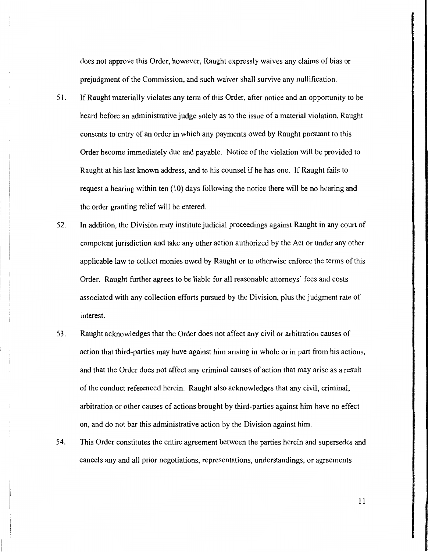does not approve this Order, however, Raught expressly waives any claims of bias or prejudgment of the Commission, and such waiver shall survive any nullification.

- 51. If Raught materially violates any term of this Order, after notice and an opportunity to be heard before an administrative judge solely as to the issue of a material violation, Raught consents to entry of an order in which any payments owed by Raught pursuant to this Order become immediately due and payable. Notice of the violation will be provided to Raught at his last known address, and to his counsel if he has one. If Raught fails to request a hearing within ten (10) days following the notice there will be no hearing and the order granting relief will be entered.
- 52. In addition, the Division may institute judicial proceedings against Raught in any court of competent jurisdiction and take any other action authorized by the Act or under any other applicable law to collect monies owed by Raught or to otherwise enforce the terms of this Order. Raught further agrees to be liable for all reasonable attorneys' fees and costs associated with any collection efforts pursued by the Division, plus the judgment rate of interest.
- 53. Raught acknowledges that the Order does not affect any civil or arbitration causes of action that third-parties may have against him arising in whole or in part from his actions, and that the Order does not affect any criminal causes of action that may arise as a result of the conduct referenced herein. Raught also acknowledges that any civil, criminal, arbitration or other causes of actions brought by third-parties against him have no effect on, and do not bar this administrative action by the Division against him.
- 54. This Order constitutes the entire agreement between the parties herein and supersedes and cancels any and all prior negotiations, representations, understandings, or agreements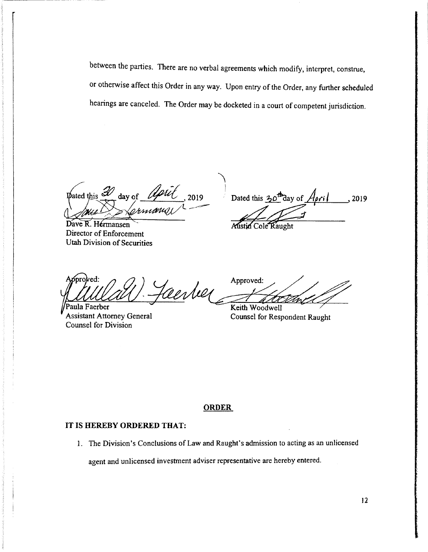between the parties. There are no verbal agreements which modify, interpret, construe, or otherwise affect this Order in any way. Upon entry of the Order, any further scheduled hearings are canceled. The Order may be docketed in a court of competent jurisdiction.

 $\searrow$ 

 $\psi$ ated this  $\mathcal{U}$ day of 2019

Dave R. Hermansen Director of Enforcement Utah Division of Securities

Dated this  $30^{7}$  day of *April* , 2019 Dated this  $30^{th}$  day of  $\frac{A_{pri}}{A_{n}}$ , 2019

taesteel

Paula Faerber Assistant Attorney General Counsel for Division

Approved: Keith Woodwell

Counsel for Respondent Raught

## **ORDER**

#### **IT IS HEREBY ORDERED THAT:**

I. The Division's Conclusions of Law and Raught's admission to acting as an unlicensed

agent and unlicensed investment adviser representative are hereby entered.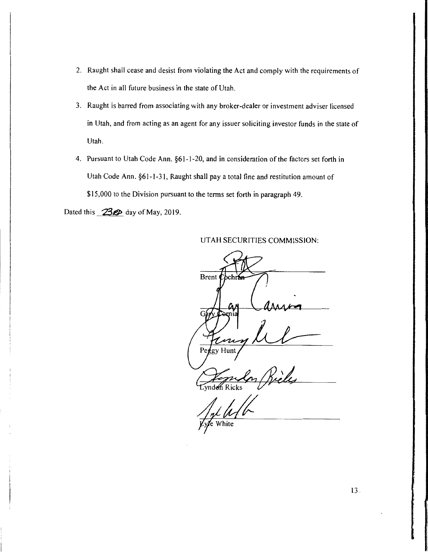- 2. Raught shall cease and desist from violating the Act and comply with the requirements of the Act in all future business in the state of Utah.
- 3. Raught is barred from associating with any broker-dealer or investment adviser licensed in Utah, and from acting as an agent for any issuer soliciting investor funds in the state of Utah.
- 4. Pursuant to Utah Code Ann. §61-1-20, and in consideration of the factors set forth in Utah Code Ann. §61-1-31, Raught shall pay a total fine and restitution amount of \$15,000 to the Division pursuant to the terms set forth in paragraph 49.

Dated this **230** day of May, 2019.

**Brent** Pe gy Hunt n Biel

White

UTAH SECURITIES COMMISSION: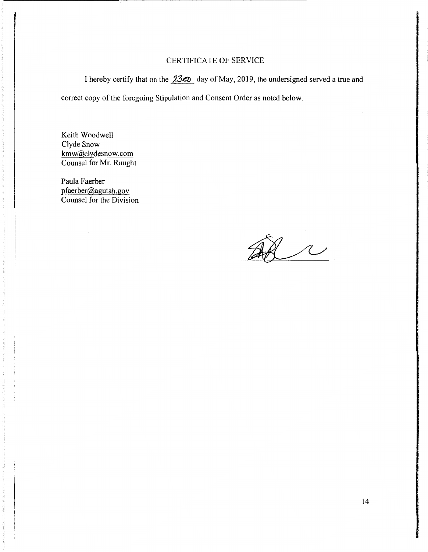## CERTIFICATE OF SERVICE

I hereby certify that on the  $232$  day of May, 2019, the undersigned served a true and correct copy of the foregoing Stipulation and Consent Order as noted below.

Keith Woodwell Clyde Snow kmw@clydesnow.com Counsel for Mr. Raught

Paula Faerber pfaerber@agutah.gov Counsel for the Division

 $\ell$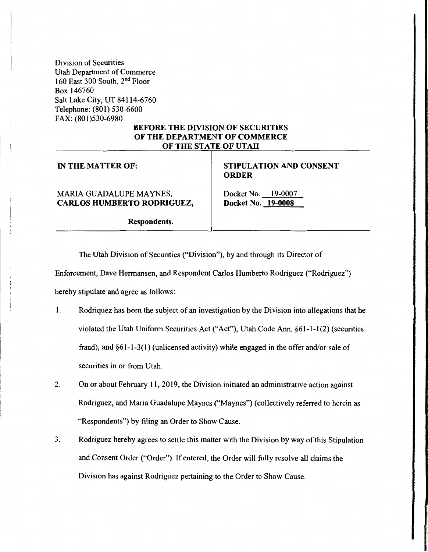Division of Securities Utah Department of Commerce 160 East 300 South, 2nd Floor Box 146760 Salt Lake City, UT 84114-6760 Telephone: (801) 530-6600 FAX: (801)530-6980

**IN THE MATTER OF:** 

## **BEFORE THE DIVISION OF SECURITIES OF THE DEPARTMENT OF COMMERCE OF THE STATE OF UTAH**

| MARIA GUADALUPE MAYNES,           |  |
|-----------------------------------|--|
| <b>CARLOS HUMBERTO RODRIGUEZ,</b> |  |

# **STIPULATION AND CONSENT ORDER**

Docket No. 19-0007 **Docket No. 19-0008** 

**Respondents.** 

The Utah Division of Securities ("Division"), by and through its Director of

Enforcement, Dave Hermansen, and Respondent Carlos Humberto Rodriguez ("Rodriguez")

hereby stipulate and agree as follows:

- 1. Rodriquez has been the subject of an investigation by the Division into allegations that he violated the Utah Uniform Securities Act ("Act"), Utah Code Ann. §61-1-1(2) (securities fraud), and §61-1-3(1) (unlicensed activity) while engaged in the offer and/or sale of securities in or from Utah.
- 2. On or about February 11, 2019, the Division initiated an administrative action against Rodriguez, and Maria Guadalupe Maynes ("Maynes") ( collectively referred to herein as "Respondents") by filing an Order to Show Cause.
- 3. Rodriguez hereby agrees to settle this matter with the Division by way of this Stipulation and Consent Order ("Order"). If entered, the Order will fully resolve all claims the Division has against Rodriguez pertaining to the Order to Show Cause.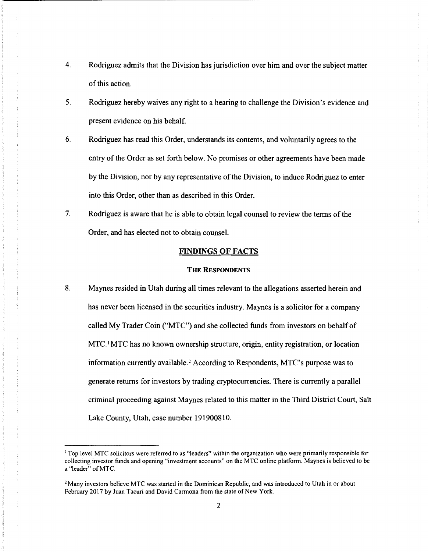- 4. Rodriguez admits that the Division has jurisdiction over him and over the subject matter of this action.
- 5. Rodriguez hereby waives any right to a hearing to challenge the Division's evidence and present evidence on his behalf.
- 6. Rodriguez has read this Order, understands its contents, and voluntarily agrees to the entry of the Order as set forth below. No promises or other agreements have been made by the Division, nor by any representative of the Division, to induce Rodriguez to enter into this Order, other than as described in this Order.
- 7. Rodriguez is aware that he is able to obtain legal counsel to review the terms of the Order, and has elected not to obtain counsel.

## **FINDINGS OF FACTS**

## **THE RESPONDENTS**

8. Maynes resided in Utah during all times relevant to the allegations asserted herein and has never been licensed in the securities industry. Maynes is a solicitor for a company called My Trader Coin ("MTC") and she collected funds from investors on behalf of MTC. 1 MTC has no known ownership structure, origin, entity registration, or location information currently available. 2 According to Respondents, MTC's purpose was to generate returns for investors by trading cryptocurrencies. There is currently a parallel criminal proceeding against Maynes related to this matter in the Third District Court, Salt Lake County, Utah, case number 191900810.

<sup>&</sup>lt;sup>1</sup>Top level MTC solicitors were referred to as "leaders" within the organization who were primarily responsible for collecting investor funds and opening "investment accounts" on the MTC online platform. Maynes is believed to be a "leader" ofMTC.

<sup>&</sup>lt;sup>2</sup> Many investors believe MTC was started in the Dominican Republic, and was introduced to Utah in or about February 2017 by Juan Tacuri and David Carmona from the state of New York.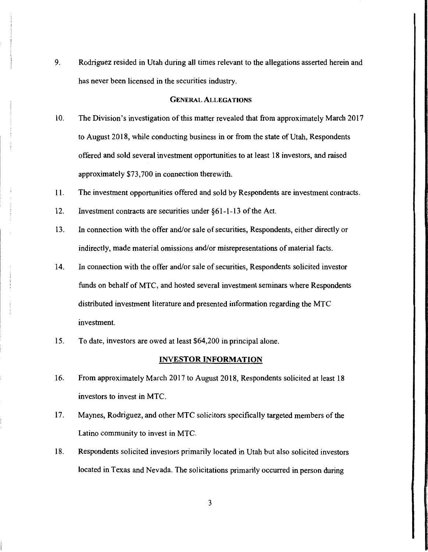9. Rodriguez resided in Utah during all times relevant to the allegations asserted herein and has never been licensed in the securities industry.

## **GENERAL ALLEGATIONS**

- 10. The Division's investigation of this matter revealed that from approximately March 2017 to August 2018, while conducting business in or from the state of Utah, Respondents offered and sold several investment opportunities to at least 18 investors, and raised approximately \$73,700 in connection therewith.
- 11. The investment opportunities offered and sold by Respondents are investment contracts.
- 12. Investment contracts are securities under §61-1-13 of the Act.
- 13. In connection with the offer and/or sale of securities, Respondents, either directly or indirectly, made material omissions and/or misrepresentations of material facts.
- 14. In connection with the offer and/or sale of securities, Respondents solicited investor funds on behalf of MTC, and hosted several investment seminars where Respondents distributed investment literature and presented information regarding the MTC investment.
- 15. To date, investors are owed at least \$64,200 in principal alone.

### **INVESTOR INFORMATION**

- 16. From approximately March 2017 to August 2018, Respondents solicited at least 18 investors to invest in MTC.
- 17. Maynes, Rodriguez, and other MTC solicitors specifically targeted members of the Latino community to invest in MTC.
- 18. Respondents solicited investors primarily located in Utah but also solicited investors located in Texas and Nevada. The solicitations primarily occurred in person during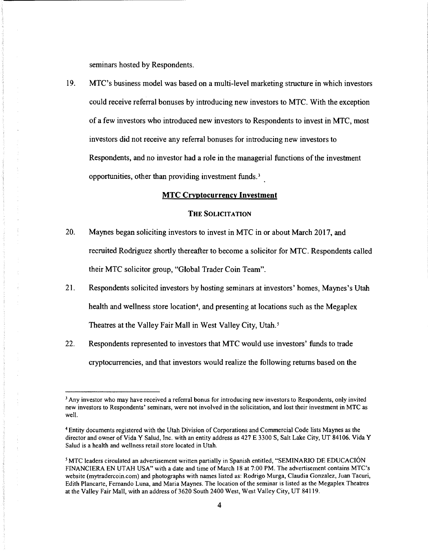seminars hosted by Respondents.

19. MTC's business model was based on a multi-level marketing structure in which investors could receive referral bonuses by introducing new investors to MTC. With the exception of a few investors who introduced new investors to Respondents to invest in MTC, most investors did not receive any referral bonuses for introducing new investors to Respondents, and no investor had a role in the managerial functions of the investment opportunities, other than providing investment funds. <sup>3</sup>

## **MTC Cryptocurrency Investment**

#### **THE SOLICITATION**

- 20. Maynes began soliciting investors to invest in MTC in or about March 2017, and recruited Rodriguez shortly thereafter to become a solicitor for MTC. Respondents called their MTC solicitor group, "Global Trader Coin Team".
- 21. Respondents solicited investors by hosting seminars at investors' homes, Maynes's Utah health and wellness store location<sup>4</sup>, and presenting at locations such as the Megaplex Theatres at the Valley Fair Mall in West Valley City, Utah. *<sup>5</sup>*
- 22. Respondents represented to investors that MTC would use investors' funds to trade cryptocurrencies, and that investors would realize the following returns based on the

<sup>&</sup>lt;sup>3</sup> Any investor who may have received a referral bonus for introducing new investors to Respondents, only invited new investors to Respondents' seminars, were not involved in the solicitation, and lost their investment in MTC as well.

<sup>4</sup>Entity documents registered with the Utah Division of Corporations and Commercial Code lists Maynes as the director and owner of Vida Y Salud, Inc. with an entity address as 427 E 3300 S, Salt Lake City, UT 84106. Vida Y Salud is a health and wellness retail store located in Utah.

<sup>&</sup>lt;sup>5</sup>MTC leaders circulated an advertisement written partially in Spanish entitled, "SEMINARIO DE EDUCACIÓN FINANCIERA EN UTAH USA" with a date and time of March 18 at 7:00 PM. The advertisement contains MTC's website (mytradercoin.com) and photographs with names listed as: Rodrigo Murga, Claudia Gonzalez, Juan Tacuri, Edith Plancarte, Fernando Luna, and Maria Maynes. The location of the seminar is listed as the Megaplex Theatres at the Valley Fair Mall, with an address of 3620 South 2400 West, West Valley City, UT 84119.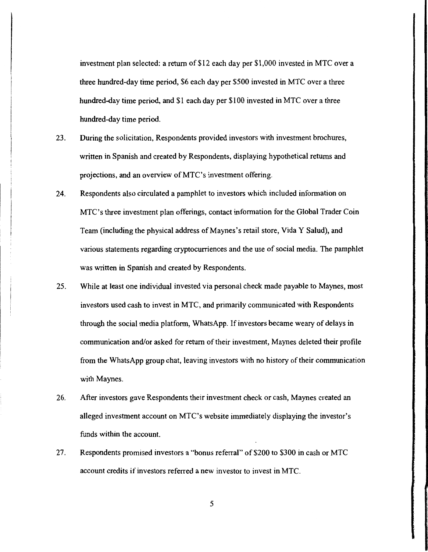investment plan selected: a return of\$12 each day per \$1,000 invested in MTC over a three hundred-day time period, \$6 each day per \$500 invested in MTC over a three hundred-day time period, and \$1 each day per \$100 invested in MTC over a three hundred-day time period.

- 23. During the solicitation, Respondents provided investors with investment brochures, written in Spanish and created by Respondents, displaying hypothetical returns and projections, and an overview of MTC's investment offering.
- 24. Respondents also circulated a pamphlet to investors which included information on MTC's three investment plan offerings, contact information for the Global Trader Coin Team (including the physical address of Maynes's retail store, Vida Y Salud), and various statements regarding cryptocurriences and the use of social media. The pamphlet was written in Spanish and created by Respondents.
- 25. While at least one individual invested via personal check made payable to Maynes, most investors used cash to invest in MTC, and primarily communicated with Respondents through the social media platform, WhatsApp. If investors became weary of delays in communication and/or asked for return of their investment, Maynes deleted their profile from the WhatsApp group chat, leaving investors with no history of their communication with Maynes.
- 26. After investors gave Respondents their investment check or cash, Maynes created an alleged investment account on MTC's website immediately displaying the investor's funds within the account.
- 27. Respondents promised investors a "bonus referral" of \$200 to \$300 in cash or MTC account credits if investors referred a new investor to invest in MTC.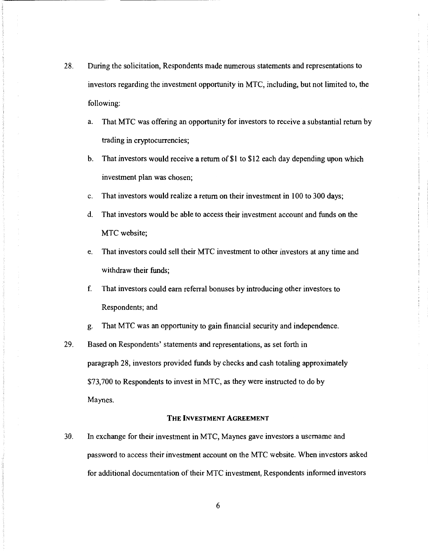- 28. During the solicitation, Respondents made numerous statements and representations to investors regarding the investment opportunity in MTC, including, but not limited to, the following:
	- a. That MTC was offering an opportunity for investors to receive a substantial return by trading in cryptocurrencies;
	- b. That investors would receive a return of \$1 to \$12 each day depending upon which investment plan was chosen;
	- c. That investors would realize a return on their investment in 100 to 300 days;
	- d. That investors would be able to access their investment account and funds on the MTC website;
	- e. That investors could sell their MTC investment to other investors at any time and withdraw their funds;
	- f. That investors could earn referral bonuses by introducing other investors to Respondents; and
	- g. That MTC was an opportunity to gain financial security and independence.
- 29. Based on Respondents' statements and representations, as set forth in paragraph 28, investors provided funds by checks and cash totaling approximately \$73,700 to Respondents to invest in MTC, as they were instructed to do by Maynes.

#### **THE INVESTMENT AGREEMENT**

30. In exchange for their investment in MTC, Maynes gave investors a username and password to access their investment account on the MTC website. When investors asked for additional documentation of their MTC investment, Respondents informed investors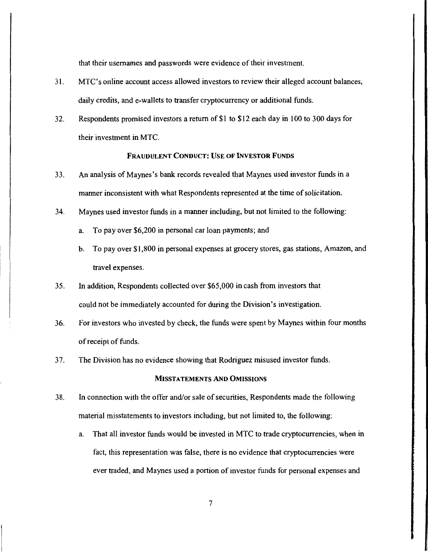that their usemames and passwords were evidence of their investment.

- 3 I. MTC's online account access allowed investors to review their alleged account balances, daily credits, and e-wallets to transfer cryptocurrency or additional funds.
- 32. Respondents promised investors a return of \$1 to \$12 each day in 100 to 300 days for their investment in MTC.

## **FRAUDULENT CONDUCT: USE OF INVESTOR FUNDS**

- 33. An analysis of Maynes's bank records revealed that Maynes used investor funds in a manner inconsistent with what Respondents represented at the time of solicitation.
- 34. Maynes used investor funds in a manner including, but not limited to the following:
	- a. To pay over \$6,200 in personal car loan payments; and
	- b. To pay over \$1,800 in personal expenses at grocery stores, gas stations, Amazon, and travel expenses.
- 35. In addition, Respondents collected over \$65,000 in cash from investors that could not be immediately accounted for during the Division's investigation.
- 36. For investors who invested by check, the funds were spent by Maynes within four months of receipt of funds.
- 3 7. The Division has no evidence showing that Rodriguez misused investor funds.

### **MISSTATEMENTS AND OMISSIONS**

- 38. In connection with the offer and/or sale of securities, Respondents made the following material misstatements to investors including, but not limited to, the following:
	- a. That all investor funds would be invested in MTC to trade cryptocurrencies, when in fact, this representation was false, there is no evidence that cryptocurrencies were ever traded, and Maynes used a portion of investor funds for personal expenses and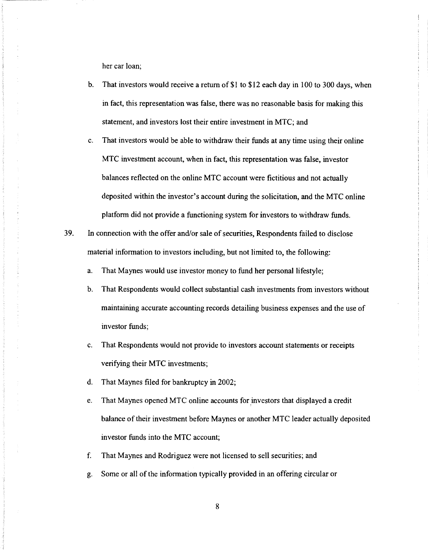her car loan;

- b. That investors would receive a return of \$1 to \$12 each day in 100 to 300 days, when in fact, this representation was false, there was no reasonable basis for making this statement, and investors lost their entire investment in MTC; and
- c. That investors would be able to withdraw their funds at any time using their online MTC investment account, when in fact, this representation was false, investor balances reflected on the online MTC account were fictitious and not actually deposited within the investor's account during the solicitation, and the MTC online platform did not provide a functioning system for investors to withdraw funds.
- 39. In connection with the offer and/or sale of securities, Respondents failed to disclose material information to investors including, but not limited to, the following:
	- a. That Maynes would use investor money to fund her personal lifestyle;
	- b. That Respondents would collect substantial cash investments from investors without maintaining accurate accounting records detailing business expenses and the use of investor funds;
	- c. That Respondents would not provide to investors account statements or receipts verifying their MTC investments;
	- d. That Maynes filed for bankruptcy in 2002;
	- e. That Maynes opened MTC online accounts for investors that displayed a credit balance of their investment before Maynes or another MTC leader actually deposited investor funds into the MTC account;
	- f. That Maynes and Rodriguez were not licensed to sell securities; and
	- g. Some or all of the information typically provided in an offering circular or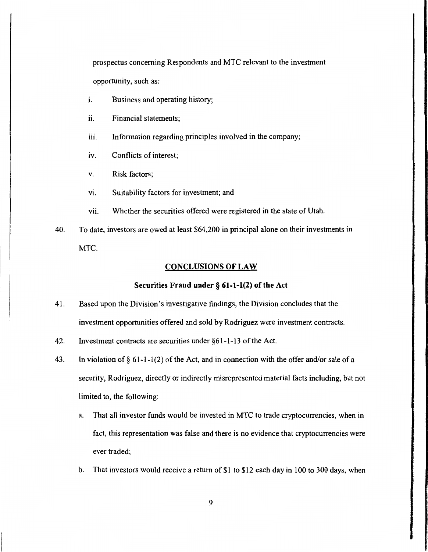prospectus concerning Respondents and MTC relevant to the investment opportunity, such as:

- i. Business and operating history;
- ii. Financial statements;
- iii. Information regarding principles involved in the company;
- iv. Conflicts of interest;
- v. Risk factors;
- vi. Suitability factors for investment; and
- vii. Whether the securities offered were registered in the state of Utah.
- 40. To date, investors are owed at least \$64,200 in principal alone on their investments in MTC.

### **CONCLUSIONS OF LAW**

### **Securities Fraud under§ 61-1-1(2) of the Act**

- 41. Based upon the Division's investigative findings, the Division concludes that the investment opportunities offered and sold by Rodriguez were investment contracts.
- 42. Investment contracts are securities under §61-1-13 of the Act.
- 43. In violation of  $\S$  61-1-1(2) of the Act, and in connection with the offer and/or sale of a security, Rodriguez, directly or indirectly misrepresented material facts including, but not limited to, the following:
	- a. That all investor funds would be invested in MTC to trade cryptocurrencies, when in fact, this representation was false and there is no evidence that cryptocurrencies were ever traded;
	- b. That investors would receive a return of \$1 to \$12 each day in 100 to 300 days, when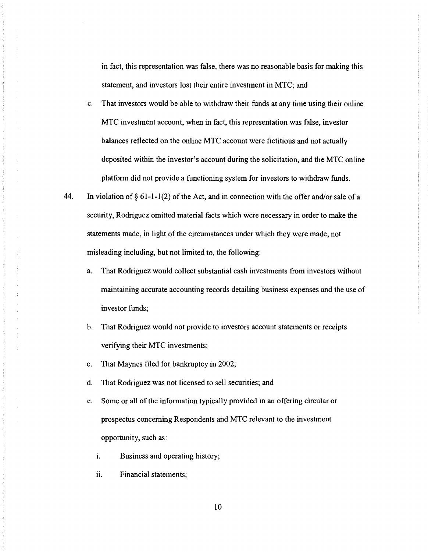in fact, this representation was false, there was no reasonable basis for making this statement, and investors lost their entire investment in MTC; and

- c. That investors would be able to withdraw their funds at any time using their online MTC investment account, when in fact, this representation was false, investor balances reflected on the online MTC account were fictitious and not actually deposited within the investor's account during the solicitation, and the MTC online platform did not provide a functioning system for investors to withdraw funds.
- 44. In violation of  $\S$  61-1-1(2) of the Act, and in connection with the offer and/or sale of a security, Rodriguez omitted material facts which were necessary in order to make the statements made, in light of the circumstances under which they were made, not misleading including, but not limited to, the following:
	- a. That Rodriguez would collect substantial cash investments from investors without maintaining accurate accounting records detailing business expenses and the use of investor funds;
	- b. That Rodriguez would not provide to investors account statements or receipts verifying their MTC investments;
	- c. That Maynes filed for bankruptcy in 2002;

 $\bar{z}$ 

- d. That Rodriguez was not licensed to sell securities; and
- e. Some or all of the information typically provided in an offering circular or prospectus concerning Respondents and MTC relevant to the investment opportunity, such as:
	- 1. Business and operating history;
	- ii. Financial statements;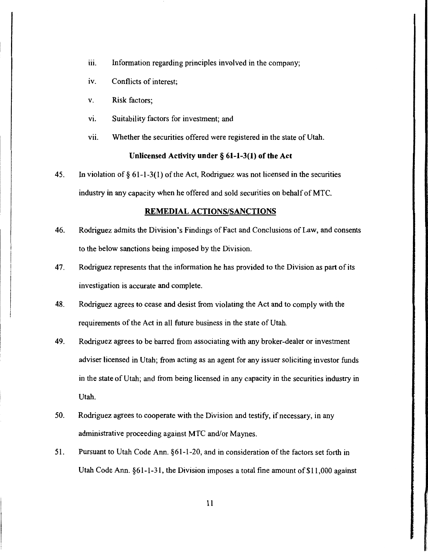- iii. Information regarding principles involved in the company;
- iv. Conflicts of interest;
- v. Risk factors;
- vi. Suitability factors for investment; and
- vii. Whether the securities offered were registered in the state of Utah.

#### **Unlicensed Activity under§ 61-1-3(1) of the Act**

45. In violation of  $\S 61$ -1-3(1) of the Act, Rodriguez was not licensed in the securities industry in any capacity when he offered and sold securities on behalf of MTC.

### **REMEDIAL ACTIONS/SANCTIONS**

- 46. Rodriguez admits the Division's Findings of Fact and Conclusions of Law, and consents to the below sanctions being imposed by the Division.
- 47. Rodriguez represents that the information he has provided to the Division as part of its investigation is accurate and complete.
- 48. Rodriguez agrees to cease and desist from violating the Act and to comply with the requirements of the Act in all future business in the state of Utah.
- 49. Rodriguez agrees to be barred from associating with any broker-dealer or investment adviser licensed in Utah; from acting as an agent for any issuer soliciting investor funds in the state of Utah; and from being licensed in any capacity in the securities industry in Utah.
- 50. Rodriguez agrees to cooperate with the Division and testify, if necessary, in any administrative proceeding against MTC and/or Maynes.
- 51. Pursuant to Utah Code Ann. §61-1-20, and in consideration of the factors set forth in Utah Code Ann. §61-1-31, the Division imposes a total fine amount of \$11,000 against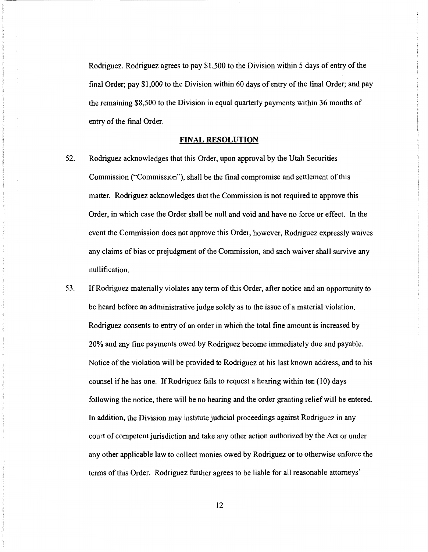Rodriguez. Rodriguez agrees to pay \$1,500 to the Division within 5 days of entry of the final Order; pay \$1,000 to the Division within 60 days of entry of the final Order; and pay the remaining \$8,500 to the Division in equal quarterly payments within 36 months of entry of the final Order.

#### **FINAL RESOLUTION**

- 52. Rodriguez acknowledges that this Order, upon approval by the Utah Securities Commission ("Commission"), shall be the final compromise and settlement of this matter. Rodriguez acknowledges that the Commission is not required to approve this Order, in which case the Order shall be null and void and have no force or effect. In the event the Commission does not approve this Order, however, Rodriguez expressly waives any claims of bias or prejudgment of the Commission, and such waiver shall survive any nullification.
- 53. If Rodriguez materially violates any term of this Order, after notice and an opportunity to be heard before an administrative judge solely as to the issue of a material violation, Rodriguez consents to entry of an order in which the total fine amount is increased by 20% and any fine payments owed by Rodriguez become immediately due and payable. Notice of the violation will be provided to Rodriguez at his last known address, and to his counsel if he has one. If Rodriguez fails to request a hearing within ten (10) days following the notice, there will be no hearing and the order granting relief will be entered. In addition, the Division may institute judicial proceedings against Rodriguez in any court of competent jurisdiction and take any other action authorized by the Act or under any other applicable law to collect monies owed by Rodriguez or to otherwise enforce the terms of this Order. Rodriguez further agrees to be liable for all reasonable attorneys'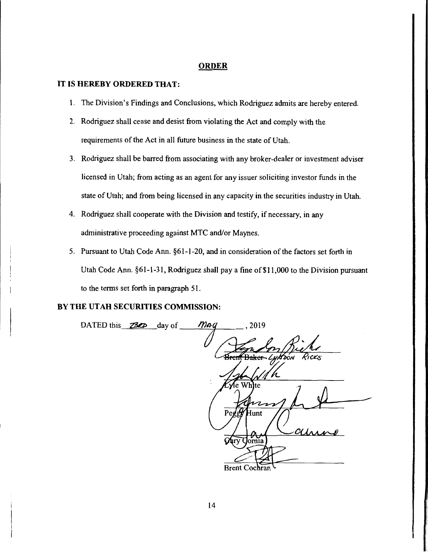## **ORDER**

## **IT IS HEREBY ORDERED THAT:**

- 1. The Division's Findings and Conclusions, which Rodriguez admits are hereby entered.
- 2. Rodriguez shall cease and desist from violating the Act and comply with the requirements of the Act in all future business in the state of Utah.
- 3. Rodriguez shall be barred from associating with any broker-dealer or investment adviser licensed in Utah; from acting as an agent for any issuer soliciting investor funds in the state of Utah; and from being licensed in any capacity in the securities industry in Utah.
- 4. Rodriguez shall cooperate with the Division and testify, if necessary, in any administrative proceeding against MTC and/or Maynes.
- 5. Pursuant to Utah Code Ann. §61-1-20, and in consideration of the factors set forth in Utah Code Ann. §61-1-31, Rodriguez shall pay a fine of \$11,000 to the Division pursuant to the terms set forth in paragraph 51.

## **BY THE UTAH SECURITIES COMMISSION:**

 $M:$ <br>  $\frac{4}{\sqrt{\frac{2}{2}}\sqrt{\frac{2019}{2000}}}}$ DATED this **Z3CP** day of *may* 2019 Iunt Pe adrin ornia **Brent Cochran**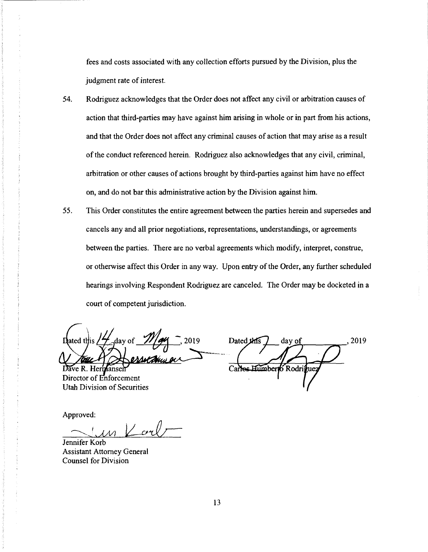fees and costs associated with any collection efforts pursued by the Division, plus the judgment rate of interest.

- 54. Rodriguez acknowledges that the Order does not affect any civil or arbitration causes of action that third-parties may have against him arising in whole or in part from his actions, and that the Order does not affect any criminal causes of action that may arise as a result of the conduct referenced herein. Rodriguez also acknowledges that any civil, criminal, arbitration or other causes of actions brought by third-parties against him have no effect on, and do not bar this administrative action by the Division against him.
- 55. This Order constitutes the entire agreement between the parties herein and supersedes and cancels any and all prior negotiations, representations, understandings, or agreements between the parties. There are no verbal agreements which modify, interpret, construe, or otherwise affect this Order in any way. Upon entry of the Order, any further scheduled hearings involving Respondent Rodriguez are canceled. The Order may be docketed in a court of competent jurisdiction.

Dated this day of

Dave R. Hermansen Director of Enforcement **Utah Division of Securities** 

Dated this day of 2019 •-........ •-h Carles Humberto Rodrigue:

Approved:

 $\mathcal{M} \not\sqsubseteq \mathcal{M}$ 

Jennifer Korb Assistant Attorney General Counsel for Division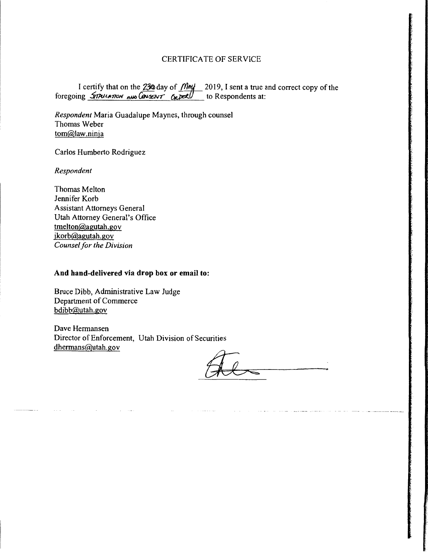## CERTIFICATE OF SERVICE

I certify that on the 230 day of *May* 2019, I sent a true and correct copy of the foregoing *STIPULATION* AND CONSENT GEDER to Respondents at:

*Respondent* Maria Guadalupe Maynes, through counsel Thomas Weber tom@law .ninja

Carlos Humberto Rodriguez

*Respondent* 

Thomas Melton Jennifer Korb Assistant Attorneys General Utah Attorney General's Office tmelton@agutah.gov jkorb@agutah.gov *Counsel for the Division* 

## **And hand-delivered via drop box or email to:**

Bruce Dibb, Administrative Law Judge Department of Commerce bdibb@utah.gov

Dave Hermansen Director of Enforcement, Utah Division of Securities dhermans@utah.gov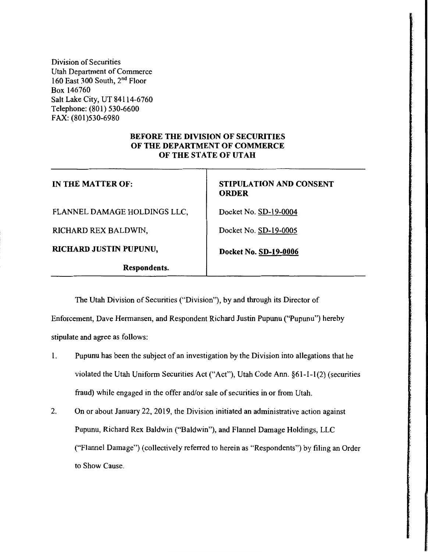Division of Securities Utah Department of Commerce l 60 East 300 South, 2nd Floor Box 146760 Salt Lake City, UT 84114-6760 Telephone: (801) 530-6600 FAX: (801 )530-6980

## **BEFORE THE DIVISION OF SECURITIES OF THE DEPARTMENT OF COMMERCE OF THE STATE OF UTAH**

| IN THE MATTER OF:            | STIPULATION AND CONSENT<br><b>ORDER</b> |
|------------------------------|-----------------------------------------|
| FLANNEL DAMAGE HOLDINGS LLC, | Docket No. SD-19-0004                   |
| RICHARD REX BALDWIN,         | Docket No. SD-19-0005                   |
| RICHARD JUSTIN PUPUNU,       | Docket No. SD-19-0006                   |
| Respondents.                 |                                         |

The Utah Division of Securities ("Division"), by and through its Director of

Enforcement, Dave Hermansen, and Respondent Richard Justin Pupunu ("Pupunu") hereby stipulate and agree as follows:

- 1. Pupunu has been the subject of an investigation by the Division into allegations that he violated the Utah Uniform Securities Act ("Act"), Utah Code Ann. §61-1-1 (2) (securities fraud) while engaged in the offer and/or sale of securities in or from Utah.
- 2. On or about January 22, 2019, the Division initiated an administrative action against Pupunu, Richard Rex Baldwin ("Baldwin"), and Flannel Damage Holdings, LLC ("Flannel Damage") ( collectively referred to herein as "Respondents") by filing an Order to Show Cause.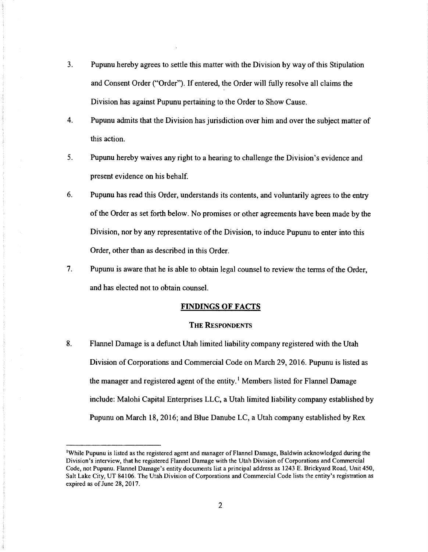- 3. Pupunu hereby agrees to settle this matter with the Division by way of this Stipulation and Consent Order ("Order"). If entered, the Order will fully resolve all claims the Division has against Pupunu pertaining to the Order to Show Cause.
- 4. Pupunu admits that the Division has jurisdiction over him and over the subject matter of this action.
- 5. Pupunu hereby waives any right to a hearing to challenge the Division's evidence and present evidence on his behalf.
- 6. Pupunu has read this Order, understands its contents, and voluntarily agrees to the entry of the Order as set forth below. No promises or other agreements have been made by the Division, nor by any representative of the Division, to induce Pupunu to enter into this Order, other than as described in this Order.
- 7. Pupunu is aware that he is able to obtain legal counsel to review the terms of the Order, and has elected not to obtain counsel.

## **FINDINGS OF FACTS**

#### **THE RESPONDENTS**

8. Flannel Damage is a defunct Utah limited liability company registered with the Utah Division of Corporations and Commercial Code on March 29, 2016. Pupunu is listed as the manager and registered agent of the entity.<sup>1</sup> Members listed for Flannel Damage include: Malohi Capital Enterprises LLC, a Utah limited liability company established by Pupunu on March 18, 2016; and Blue Danube LC, a Utah company established by Rex

<sup>1</sup> While Pupunu is listed as the registered agent and manager of Flannel Damage, Baldwin acknowledged during the Division's interview, that he registered Flannel Damage with the Utah Division of Corporations and Commercial Code, not Pupunu. Flannel Damage's entity documents list a principal address as 1243 E. Brickyard Road, Unit 450, Salt Lake City, UT 84106. The Utah Division of Corporations and Commercial Code lists the entity's registration as expired as of June 28, 2017.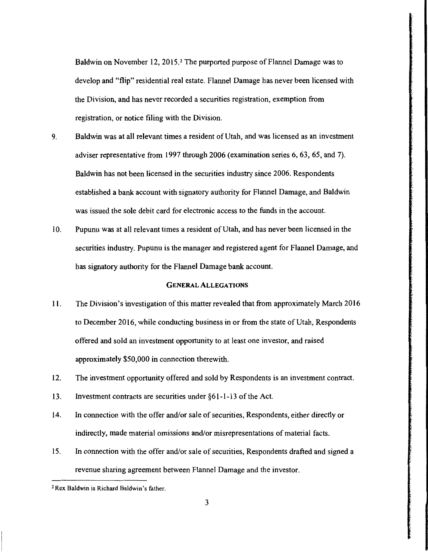Baldwin on November 12, 2015.<sup>2</sup> The purported purpose of Flannel Damage was to develop and "flip" residential real estate. Flannel Damage has never been licensed with the Division, and has never recorded a securities registration, exemption from registration, or notice filing with the Division.

- 9. Baldwin was at all relevant times a resident of Utah, and was licensed as an investment adviser representative from 1997 through 2006 (examination series 6, 63, 65, and 7). Baldwin has not been licensed in the securities industry since 2006. Respondents established a bank account with signatory authority for Flannel Damage, and Baldwin was issued the sole debit card for electronic access to the funds in the account.
- 10. Pupunu was at all relevant times a resident of Utah, and has never been licensed in the securities industry. Pupunu is the manager and registered agent for Flannel Damage, and has signatory authority for the Flannel Damage bank account.

### **GENERAL ALLEGATIONS**

- 11. The Division's investigation of this matter revealed that from approximately March 2016 to December 2016, while conducting business in or from the state of Utah, Respondents offered and sold an investment opportunity to at least one investor, and raised approximately \$50,000 in connection therewith.
- 12. The investment opportunity offered and sold by Respondents is an investment contract.
- 13. Investment contracts are securities under §61-1-13 of the Act.
- 14. In connection with the offer and/or sale of securities, Respondents, either directly or indirectly, made material omissions and/or misrepresentations of material facts.
- 15. In connection with the offer and/or sale of securities, Respondents drafted and signed **a**  revenue sharing agreement between Flannel Damage and the investor.

**<sup>2</sup> Rex** Baldwin is Richard Baldwin's father.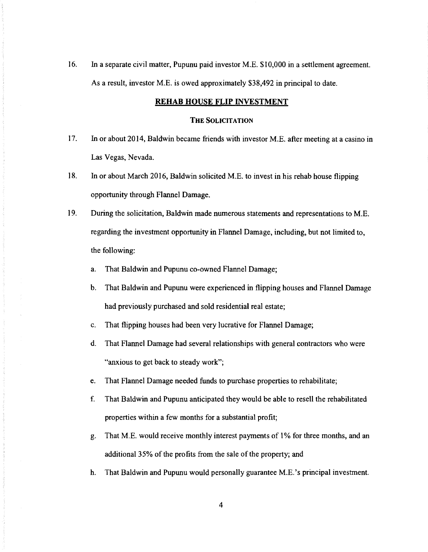16. In a separate civil matter, Pupunu paid investor M.E. \$10,000 in a settlement agreement. As a result, investor M.E. is owed approximately \$38,492 in principal to date.

## **REHAB HOUSE FLIP INVESTMENT**

#### **THE SOLICITATION**

- 17. In or about 2014, Baldwin became friends with investor M.E. after meeting at a casino in Las Vegas, Nevada.
- 18. In or about March 2016, Baldwin solicited M.E. to invest in his rehab house flipping opportunity through Flannel Damage.
- 19. During the solicitation, Baldwin made numerous statements and representations to M.E. regarding the investment opportunity in Flannel Damage, including, but not limited to, the following:
	- a. That Baldwin and Pupunu co-owned Flannel Damage;
	- b. That Baldwin and Pupunu were experienced in flipping houses and Flannel Damage had previously purchased and sold residential real estate;
	- c. That flipping houses had been very lucrative for Flannel Damage;
	- d. That Flannel Damage had several relationships with general contractors who were "anxious to get back to steady work";
	- e. That Flannel Damage needed funds to purchase properties to rehabilitate;
	- f. That Baldwin and Pupunu anticipated they would be able to resell the rehabilitated properties within a few months for a substantial profit;
	- g. That M.E. would receive monthly interest payments of 1 % for three months, and an additional 35% of the profits from the sale of the property; and
	- h. That Baldwin and Pupunu would personally guarantee M.E.'s principal investment.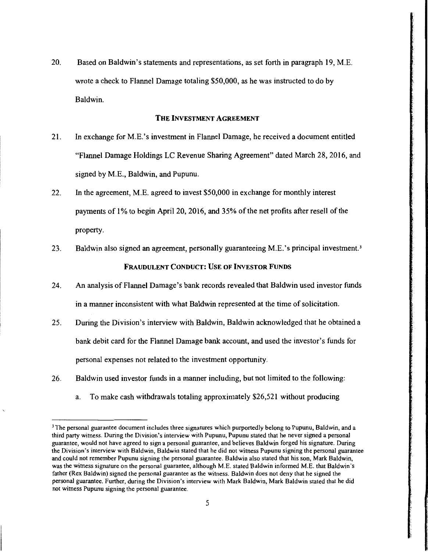20. Based on Baldwin's statements and representations, as set forth in paragraph 19, M.E. wrote a check to Flannel Damage totaling \$50,000, as he was instructed to do by Baldwin.

#### **THE INVESTMENT AGREEMENT**

- 21. In exchange for M.E. 's investment in Flannel Damage, he received a document entitled "Flannel Damage Holdings LC Revenue Sharing Agreement" dated March 28, 2016, and signed by M.E., Baldwin, and Pupunu.
- 22. In the agreement, M.E. agreed to invest \$50,000 in exchange for monthly interest payments of 1% to begin April 20, 2016, and 35% of the net profits after resell of the property.
- 23. Baldwin also signed an agreement, personally guaranteeing M.E.'s principal investment.<sup>3</sup> **FRAUDULENT CONDUCT: USE OF INVESTOR FuNDS**
- 24. An analysis of Flannel Damage's bank records revealed that Baldwin used investor funds in a manner inconsistent with what Baldwin represented at the time of solicitation.
- 25. During the Division's interview with Baldwin, Baldwin acknowledged that he obtained a bank debit card for the Flannel Damage bank account, and used the investor's funds for personal expenses not related to the investment opportunity.
- 26. Baldwin used investor funds in a manner including, but not limited to the following:
	- a. To make cash withdrawals totaling approximately \$26,521 without producing

<sup>&</sup>lt;sup>3</sup> The personal guarantee document includes three signatures which purportedly belong to Pupunu, Baldwin, and a third party witness. During the Division's interview with Pupunu, Pupunu stated that he never signed a personal guarantee, would not have agreed to sign a personal guarantee, and believes Baldwin forged his signature. During the Division's interview with Baldwin, Baldwin stated that he did not witness Pupunu signing the personal guarantee and could not remember Pupunu signing the personal guarantee. Baldwin also stated that his son, Mark Baldwin, was the witness signature on the personal guarantee, although M.E. stated Baldwin informed M.E. that Baldwin's father (Rex Baldwin) signed the personal guarantee as the witness. Baldwin does not deny that he signed the personal guarantee. Further, during the Division's interview with Mark Baldwin, Mark Baldwin stated that he did not witness Pupunu signing the personal guarantee.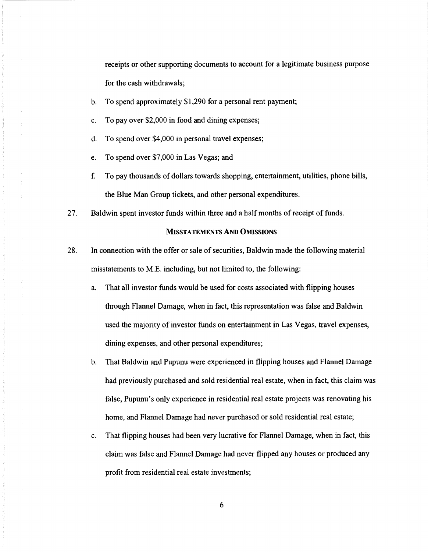receipts or other supporting documents to account for a legitimate business purpose for the cash withdrawals;

- b. To spend approximately \$1,290 for a personal rent payment;
- c. To pay over \$2,000 in food and dining expenses;
- d. To spend over \$4,000 in personal travel expenses;
- e. To spend over \$7,000 in Las Vegas; and
- f. To pay thousands of dollars towards shopping, entertainment, utilities, phone bills, the Blue Man Group tickets, and other personal expenditures.
- 27. Baldwin spent investor funds within three and a half months of receipt of funds.

### **MISSTATEMENTS AND OMISSIONS**

- 28. In connection with the offer or sale of securities, Baldwin made the following material misstatements to M.E. including, but not limited to, the following:
	- a. That all investor funds would be used for costs associated with flipping houses through Flannel Damage, when in fact, this representation was false and Baldwin used the majority of investor funds on entertainment in Las Vegas, travel expenses, dining expenses, and other personal expenditures;
	- b. That Baldwin and Pupunu were experienced in flipping houses and Flannel Damage had previously purchased and sold residential real estate, when in fact, this claim was false, Pupunu's only experience in residential real estate projects was renovating his home, and Flannel Damage had never purchased or sold residential real estate;
	- c. That flipping houses had been very lucrative for Flannel Damage, when in fact, this claim was false and Flannel Damage had never flipped any houses or produced any profit from residential real estate investments;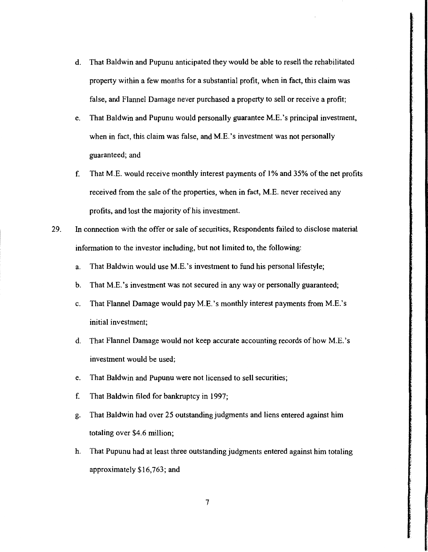- d. That Baldwin and Pupunu anticipated they would be able to resell the rehabilitated property within a few months for a substantial profit, when in fact, this claim was false, and Flannel Damage never purchased a property to sell or receive a profit;
- e. That Baldwin and Pupunu would personally guarantee M.E. 's principal investment, when in fact, this claim was false, and M.E.'s investment was not personally guaranteed; and
- f. That M.E. would receive monthly interest payments of l % and 35% of the net profits received from the sale of the properties, when in fact, M.E. never received any profits, and lost the majority of his investment.
- 29. In connection with the offer or sale of securities, Respondents failed to disclose material information to the investor including, but not limited to, the following:
	- a. That Baldwin would use M.E. 's investment to fund his personal lifestyle;
	- b. That M.E.'s investment was not secured in any way or personally guaranteed;
	- c. That Flannel Damage would pay M.E. 's monthly interest payments from M.E. 's initial investment;
	- d. That Flannel Damage would not keep accurate accounting records of how M.E.'s investment would be used;
	- e. That Baldwin and Pupunu were not licensed to sell securities;
	- f. That Baldwin filed for bankruptcy in 1997;
	- g. That Baldwin had over 25 outstanding judgments and liens entered against him totaling over \$4.6 million;
	- h. That Pupunu had at least three outstanding judgments entered against him totaling approximately \$16,763; and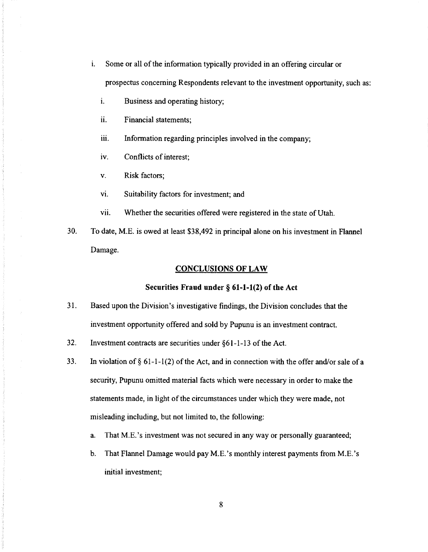- 1. Some or all of the information typically provided in an offering circular or prospectus concerning Respondents relevant to the investment opportunity, such as:
	- i. Business and operating history;
	- ii. Financial statements;
	- iii. Information regarding principles involved in the company;
	- iv. Conflicts of interest;
	- v. Risk factors;
	- vi. Suitability factors for investment; and
	- vii. Whether the securities offered were registered in the state of Utah.
- 30. To date, M.E. is owed at least \$38,492 in principal alone on his investment in Flannel Damage.

## **CONCLUSIONS OF LAW**

## **Securities Fraud under§ 61-1-1(2) of the Act**

- 31. Based upon the Division's investigative findings, the Division concludes that the investment opportunity offered and sold by Pupunu is an investment contract.
- 32. Investment contracts are securities under §61-1-13 of the Act.
- 33. In violation of  $\S 61-1-1(2)$  of the Act, and in connection with the offer and/or sale of a security, Pupunu omitted material facts which were necessary in order to make the statements made, in light of the circumstances under which they were made, not misleading including, but not limited to, the following:
	- a. That M.E.'s investment was not secured in any way or personally guaranteed;
	- b. That Flannel Damage would pay M.E. 's monthly interest payments from M.E. 's initial investment;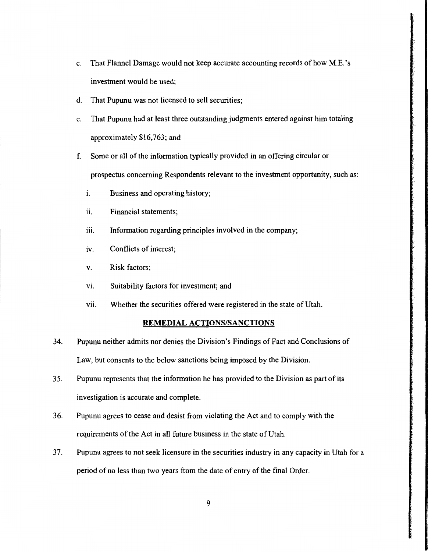- c. That Flannel Damage would not keep accurate accounting records of how M.E. 's investment would be used;
- d. That Pupunu was not licensed to sell securities;
- e. That Pupunu had at least three outstanding judgments entered against him totaling approximately \$16,763; and
- f. Some or all of the information typically provided in an offering circular or prospectus concerning Respondents relevant to the investment opportunity, such as:
	- i. Business and operating history;
	- ii. Financial statements;
	- iii. Information regarding principles involved in the company;
	- iv. Conflicts of interest;
	- v. **Risk** factors;
	- vi. Suitability factors for investment; and
	- vii. Whether the securities offered were registered in the state of Utah.

## **REMEDIAL ACTIONS/SANCTIONS**

- 34. Pupunu neither admits nor denies the Division's Findings of Fact and Conclusions of Law, but consents to the below sanctions being imposed by the Division.
- 35. Pupunu represents that the information he has provided to the Division as part of its investigation is accurate and complete.
- 36. Pupunu agrees to cease and desist from violating the Act and to comply with the requirements of the Act in all future business in the state of Utah.
- 37. Pupunu agrees to not seek licensure in the securities industry in any capacity in Utah for a period of no less than two years from the date of entry of the final Order.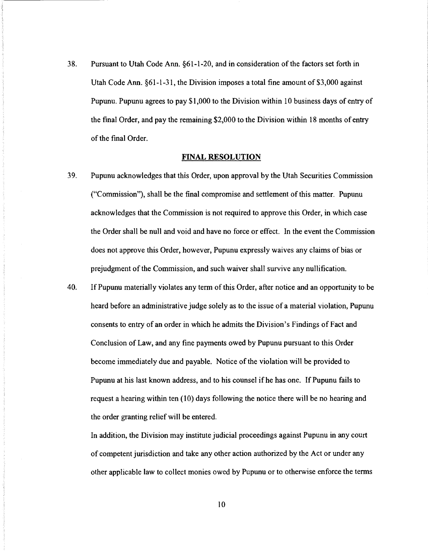38. Pursuant to Utah Code Ann. §61-1-20, and in consideration of the factors set forth in Utah Code Ann.  $\S61-1-31$ , the Division imposes a total fine amount of \$3,000 against Pupunu. Pupunu agrees to pay \$1,000 to the Division within 10 business days of entry of the final Order, and pay the remaining \$2,000 to the Division within 18 months of entry of the final Order.

## **FINAL RESOLUTION**

- 39. Pupunu acknowledges that this Order, upon approval by the Utah Securities Commission ("Commission"), shall be the final compromise and settlement of this matter. Pupunu acknowledges that the Commission is not required to approve this Order, in which case the Order shall be null and void and have no force or effect. In the event the Commission does not approve this Order, however, Pupunu expressly waives any claims of bias or prejudgment of the Commission, and such waiver shall survive any nullification.
- 40. If Pupunu materially violates any term of this Order, after notice and an opportunity to be heard before an administrative judge solely as to the issue of a material violation, Pupunu consents to entry of an order in which he admits the Division's Findings of Fact and Conclusion of Law, and any fine payments owed by Pupunu pursuant to this Order become immediately due and payable. Notice of the violation will be provided to Pupunu at his last known address, and to his counsel if he has one. If Pupunu fails to request a hearing within ten ( 10) days following the notice there will be no hearing and the order granting relief will be entered.

In addition, the Division may institute judicial proceedings against Pupunu in any court of competent jurisdiction and take any other action authorized by the Act or under any other applicable law to collect monies owed by Pupunu or to otherwise enforce the terms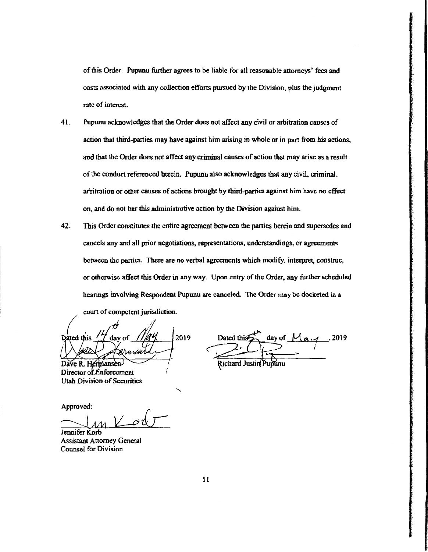of this Order. Pupunu further agrees to be liable for all reasonable attorneys' fees and costs associated with any collection efforts pursued by the Division, plus the judgment rate of interest.

- 41. Pupunu acknowledges that the Order does not affect any civil or arbitration causes of action that third-parties may have against him arising in whole or in part from his actions, and that the Order does not affect any criminal causes of action that may arise as a result of the conduct referenced herein. Pupunu also acknowledges that any civil, criminal, arbitration or other causes of actions brought by third-parties against him have no effect on, and do not bar this administrative action by the Division against him.
- 42. This Order constitutes the entire agreement between the parties herein and supersedes and cancels any and all prior negotiations, representations, understandings, or agreements between the parties. There are no verbal agreements which modify, interpret, construe, or otherwise affect this Order in any way. Upon entry of the Order. any further scheduled hearings involving Respondent Pupunu are canceled. The Order may be docketed in a

court of competent jurisdiction.

2019 Dated this Dave R. Hermansen

Director of Enforcement Utah Division of Securities

day of  $Max.2019$ Dated this

Richard Justin Pupunu

Approved: Approved:<br> $\frac{1}{\text{Jennifer Korb}}$ 

Jennifer Korb Assistant Attorney Generdl Counsel for Division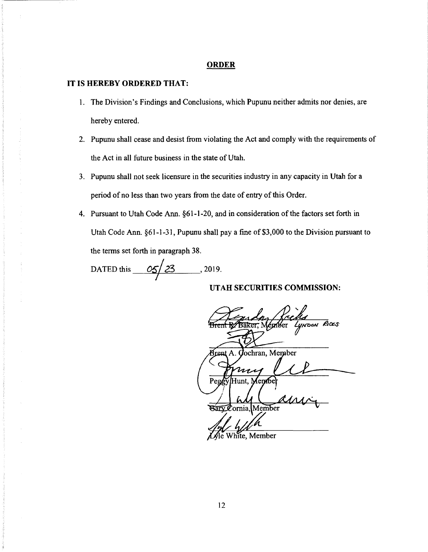## **ORDER**

### **IT IS HEREBY ORDERED THAT:**

- 1. The Division's Findings and Conclusions, which Pupunu neither admits nor denies, are hereby entered.
- 2. Pupunu shall cease and desist from violating the Act and comply with the requirements of the Act in all future business in the state of Utah.
- 3. Pupunu shall not seek licensure in the securities industry in any capacity in Utah for a period of no less than two years from the date of entry of this Order.
- 4. Pursuant to Utah Code Ann. §61-1-20, and in consideration of the factors set forth in Utah Code Ann. §61-1-31, Pupunu shall pay a fine of \$3,000 to the Division pursuant to the terms set forth in paragraph 38.

DATED this <u>05/23</u>, 2019.

## **UTAH SECURITIES COMMISSION:**

LYNDON RICES Baker, Member Cochran, Member Brent A Iunt. Peg len be Sary Cornia, Member White, Member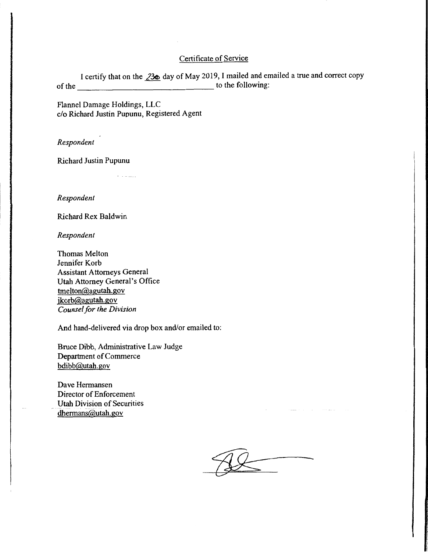# Certificate of Service

I certify that on the  $23\text{\textdegree}$  day of May 2019, I mailed and emailed a true and correct copy of the \_\_\_\_\_\_\_\_\_\_\_\_\_\_\_ to the following:

Flannel Damage Holdings, LLC c/o Richard Justin Pupunu, Registered Agent

*Respondent* 

Richard Justin Pupunu

a conserva

*Respondent* 

Richard Rex Baldwin

*Respondent* 

Thomas Melton Jennifer Korb Assistant Attorneys General Utah Attorney General's Office tmelton@agutah.gov ikorb@agutah.gov *Counsel for the Division* 

And hand-delivered via drop box and/or emailed to:

Bruce Dibb, Administrative Law Judge Department of Commerce bdibb@utah.gov

Dave Hermansen Director of Enforcement Utah Division of Securities dhermans@utah.gov

-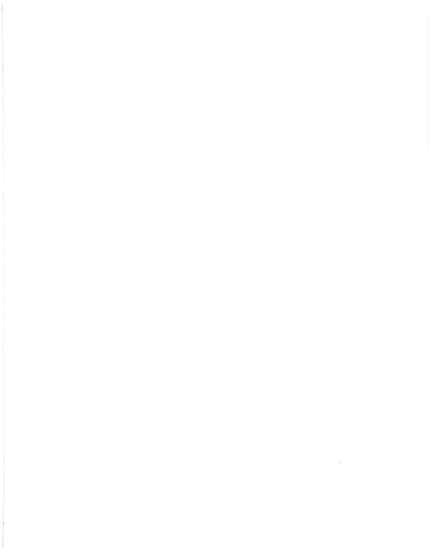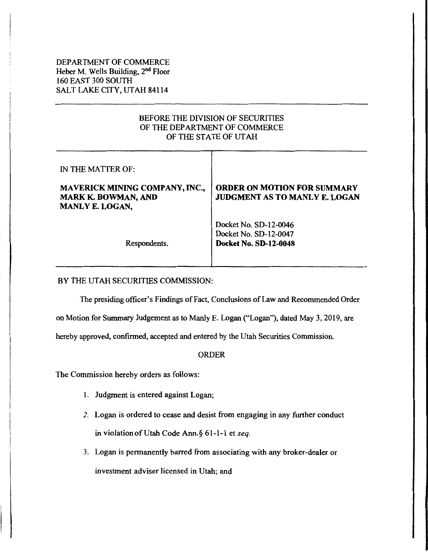DEPARTMENT OF COMMERCE Heber M. Wells Building, 2nd Floor 160 EAST 300 SOUTH SALT LAKE CITY, UTAH 84114

# BEFORE THE DIVISION OF SECURITIES OF THE DEPARTMENT OF COMMERCE OF THE STATE OF UTAH

| IN THE MATTER OF:                                                                      |                                                                                |
|----------------------------------------------------------------------------------------|--------------------------------------------------------------------------------|
| <b>MAVERICK MINING COMPANY, INC.,</b><br><b>MARK K. BOWMAN, AND</b><br>MANLY E. LOGAN, | <b>ORDER ON MOTION FOR SUMMARY</b><br><b>JUDGMENT AS TO MANLY E. LOGAN</b>     |
| Respondents.                                                                           | Docket No. SD-12-0046<br>Docket No. SD-12-0047<br><b>Docket No. SD-12-0048</b> |

BY THE UTAH SECURITIES COMMISSION:

The presiding officer's Findings of Fact, Conclusions of Law and Recommended Order

on Motion for Summary Judgement as to Manly E. Logan ("Logan"), dated May 3, 2019, are

hereby approved, confirmed, accepted and entered by the Utah Securities Commission.

## ORDER

The Commission hereby orders as follows:

- 1. Judgment is entered against Logan;
- *2.* Logan is ordered to cease and desist from engaging in any further conduct in violationofUtah Code Ann.§ 61-1-1 et *seq.*
- 3. Logan is permanently barred from associating with any broker-dealer or investment adviser licensed in Utah; and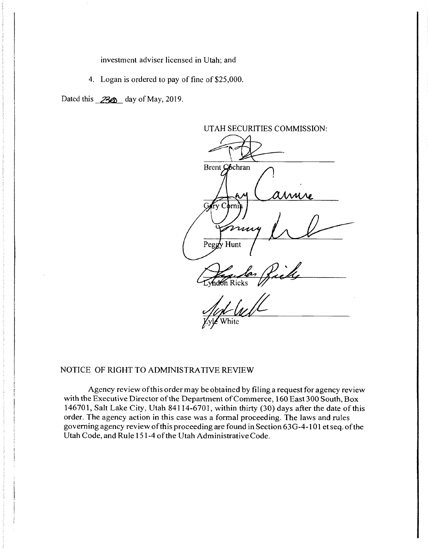investment adviser licensed in Utah; and

4. Logan is ordered to pay of fine of \$25,000.

Dated this  $232$  day of May, 2019.

UTAH SECURITIES COMMISSION: Brent Cochran Peg Hunt idón Ricks

## NOTICE OF RIGHT TO ADMINISTRATIVE REVIEW

Agency review of this order may be obtained by filing a request for agency review with the Executive Director of the Department of Commerce, 160 East 300 South, Box 146701, Salt Lake City, Utah 84114-6701, within thirty (30) days after the date of this order. The agency action in this case was a formal proceeding. The laws and rules governing agency review of this proceeding are found in Section 630-4-101 et seq. of the Utah Code, and Rule 151-4 of the Utah Administrative Code.